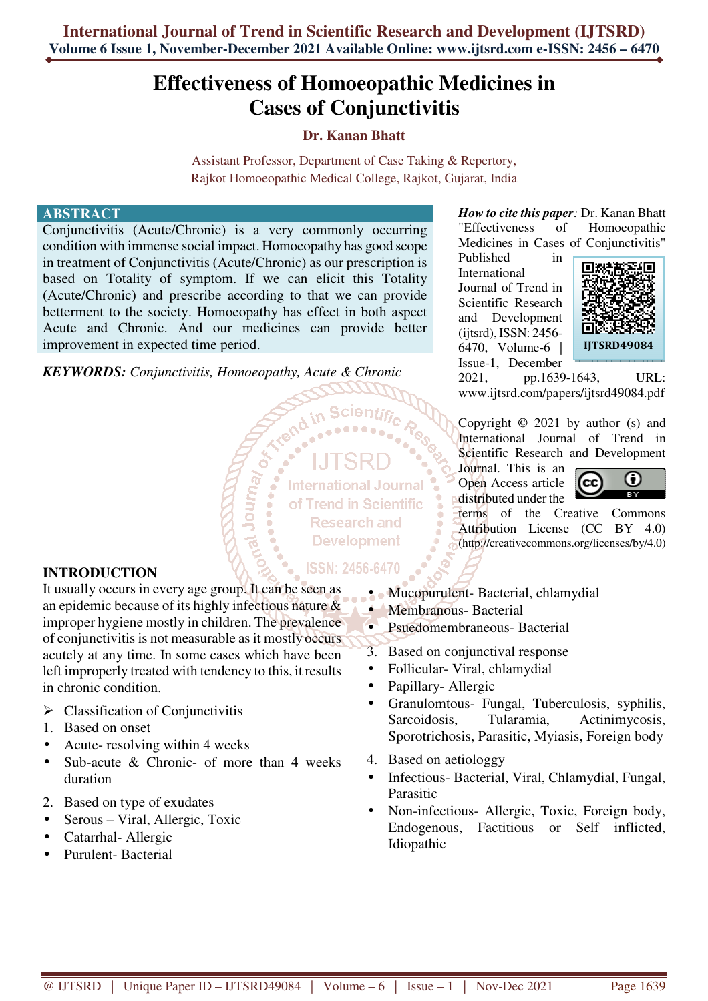# **Effectiveness of Homoeopathic Medicines in Cases of Conjunctivitis**

## **Dr. Kanan Bhatt**

Assistant Professor, Department of Case Taking & Repertory, Rajkot Homoeopathic Medical College, Rajkot, Gujarat, India

#### **ABSTRACT**

Conjunctivitis (Acute/Chronic) is a very commonly occurring condition with immense social impact. Homoeopathy has good scope in treatment of Conjunctivitis (Acute/Chronic) as our prescription is based on Totality of symptom. If we can elicit this Totality (Acute/Chronic) and prescribe according to that we can provide betterment to the society. Homoeopathy has effect in both aspect Acute and Chronic. And our medicines can provide better improvement in expected time period.

*KEYWORDS: Conjunctivitis, Homoeopathy, Acute & Chronic* 

Veunor<sub>1</sub>

**International Journal** of Trend in Scientific **Research and Development** 

"Effectiveness of Homoeopathic Medicines in Cases of Conjunctivitis" Published in

*How to cite this paper:* Dr. Kanan Bhatt

International Journal of Trend in Scientific Research and Development (ijtsrd), ISSN: 2456- 6470, Volume-6 | Issue-1, December



2021, pp.1639-1643, URL: www.ijtsrd.com/papers/ijtsrd49084.pdf

Copyright  $\odot$  2021 by author (s) and International Journal of Trend in Scientific Research and Development

Journal. This is an Open Access article distributed under the



terms of the Creative Commons Attribution License (CC BY 4.0) (http://creativecommons.org/licenses/by/4.0)

### **INTRODUCTION**

It usually occurs in every age group. It can be seen as an epidemic because of its highly infectious nature & improper hygiene mostly in children. The prevalence of conjunctivitis is not measurable as it mostly occurs acutely at any time. In some cases which have been left improperly treated with tendency to this, it results in chronic condition.

- $\triangleright$  Classification of Conjunctivitis
- 1. Based on onset
- Acute- resolving within 4 weeks
- Sub-acute & Chronic- of more than 4 weeks duration
- 2. Based on type of exudates
- Serous Viral, Allergic, Toxic
- Catarrhal- Allergic
- Purulent- Bacterial

## ISSN: 2456-6470

- Mucopurulent- Bacterial, chlamydial
- Membranous- Bacterial
- Psuedomembraneous- Bacterial
- 3. Based on conjunctival response
- Follicular- Viral, chlamydial
- Papillary- Allergic
- Granulomtous- Fungal, Tuberculosis, syphilis, Sarcoidosis, Tularamia, Actinimycosis, Sporotrichosis, Parasitic, Myiasis, Foreign body
- 4. Based on aetiologgy
- Infectious- Bacterial, Viral, Chlamydial, Fungal, Parasitic
- Non-infectious- Allergic, Toxic, Foreign body, Endogenous, Factitious or Self inflicted, Idiopathic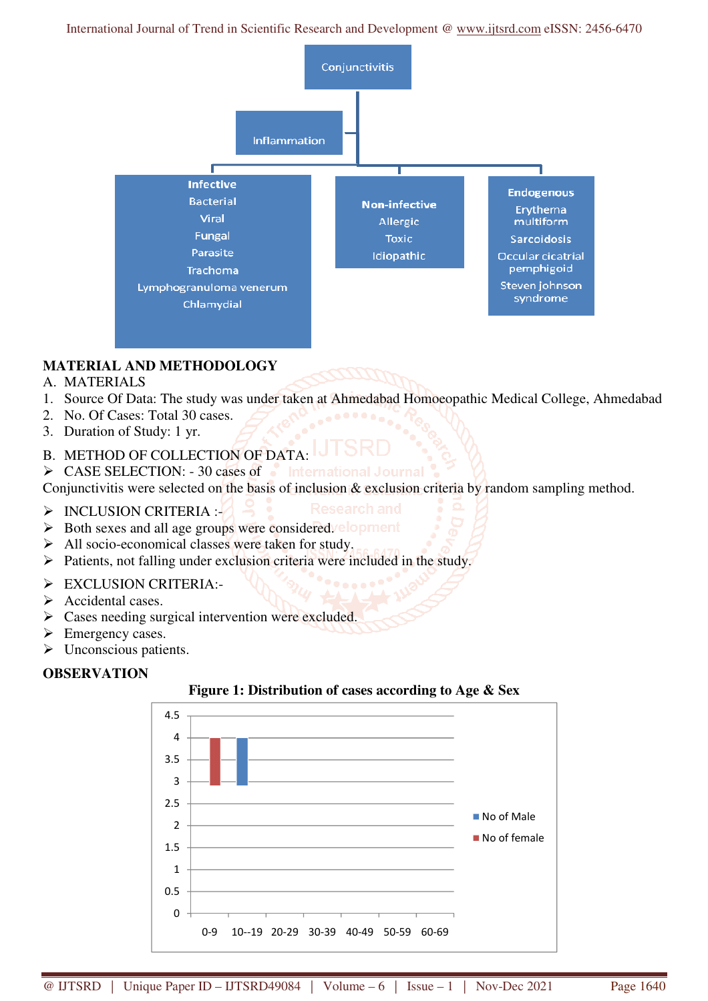International Journal of Trend in Scientific Research and Development @ www.ijtsrd.com eISSN: 2456-6470



# **MATERIAL AND METHODOLOGY**

- A. MATERIALS
- 1. Source Of Data: The study was under taken at Ahmedabad Homoeopathic Medical College, Ahmedabad
- 2. No. Of Cases: Total 30 cases.
- 3. Duration of Study: 1 yr.
- B. METHOD OF COLLECTION OF DATA:
- > CASE SELECTION: 30 cases of linternational Journal

Conjunctivitis were selected on the basis of inclusion & exclusion criteria by random sampling method.

- $\triangleright$  INCLUSION CRITERIA :-
- $\triangleright$  Both sexes and all age groups were considered. **elopment**
- $\triangleright$  All socio-economical classes were taken for study.
- $\triangleright$  Patients, not falling under exclusion criteria were included in the study.
- $\triangleright$  EXCLUSION CRITERIA:-
- $\triangleright$  Accidental cases.
- $\triangleright$  Cases needing surgical intervention were excluded.
- $\triangleright$  Emergency cases.
- $\triangleright$  Unconscious patients.

### **OBSERVATION**



## **Figure 1: Distribution of cases according to Age & Sex**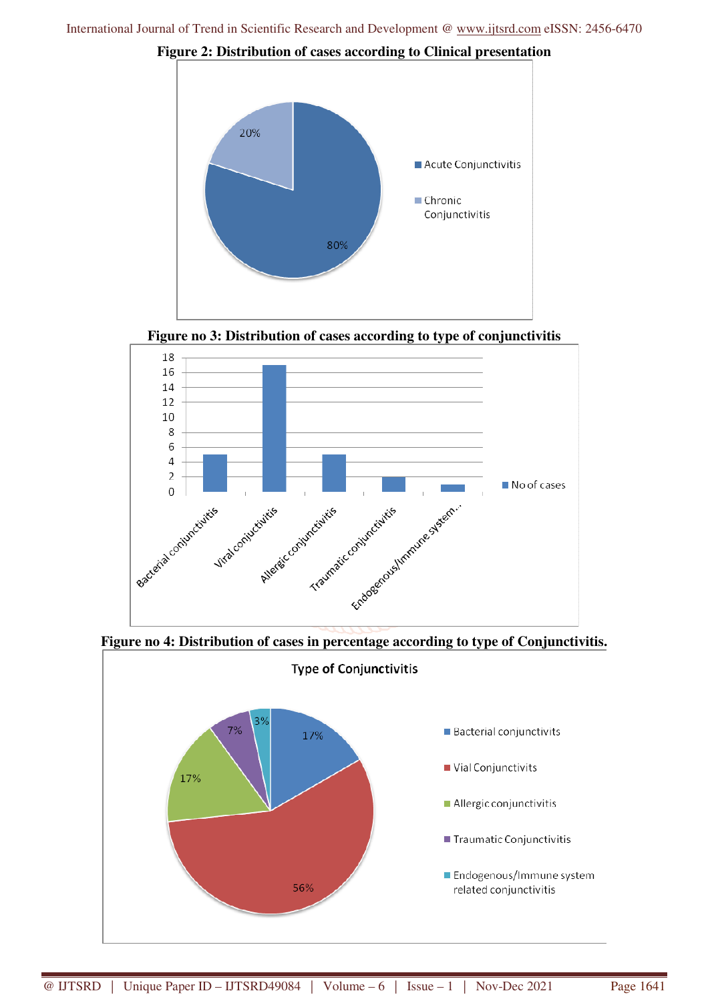

**Figure 2: Distribution of cases according to Clinical presentation** 





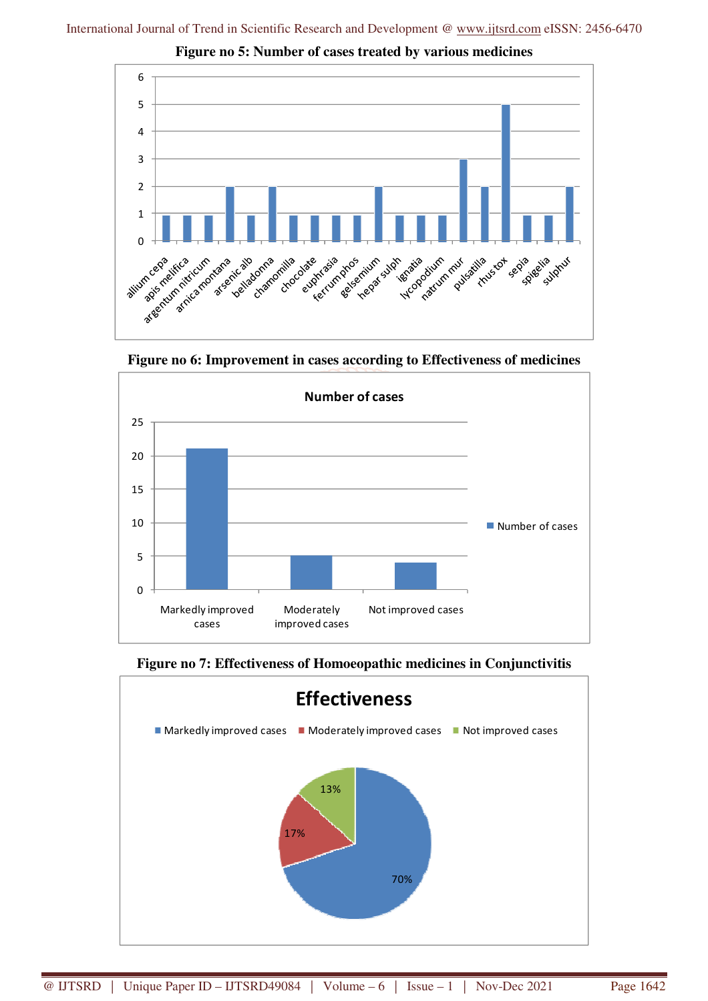

**Figure no 5: Number of cases treated by various medicines** 

**Figure no 6: Improvement in cases according to Effectiveness of medicines** 



**Figure no 7: Effectiveness of Homoeopathic medicines in Conjunctivitis**